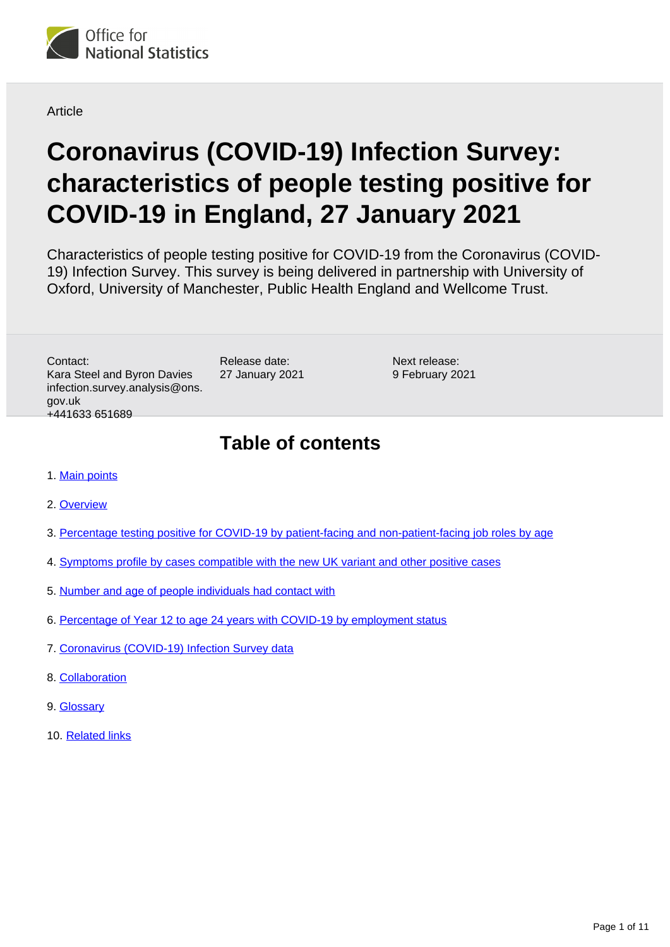

**Article** 

# **Coronavirus (COVID-19) Infection Survey: characteristics of people testing positive for COVID-19 in England, 27 January 2021**

Characteristics of people testing positive for COVID-19 from the Coronavirus (COVID-19) Infection Survey. This survey is being delivered in partnership with University of Oxford, University of Manchester, Public Health England and Wellcome Trust.

Contact: Kara Steel and Byron Davies infection.survey.analysis@ons. gov.uk +441633 651689

Release date: 27 January 2021

Next release: 9 February 2021

## **Table of contents**

- 1. [Main points](#page-1-0)
- 2. [Overview](#page-1-1)
- 3. [Percentage testing positive for COVID-19 by patient-facing and non-patient-facing job roles by age](#page-1-2)
- 4. [Symptoms profile by cases compatible with the new UK variant and other positive cases](#page-3-0)
- 5. [Number and age of people individuals had contact with](#page-5-0)
- 6. [Percentage of Year 12 to age 24 years with COVID-19 by employment status](#page-7-0)
- 7. [Coronavirus \(COVID-19\) Infection Survey data](#page-8-0)
- 8. [Collaboration](#page-9-0)
- 9. [Glossary](#page-9-1)
- 10. [Related links](#page-10-0)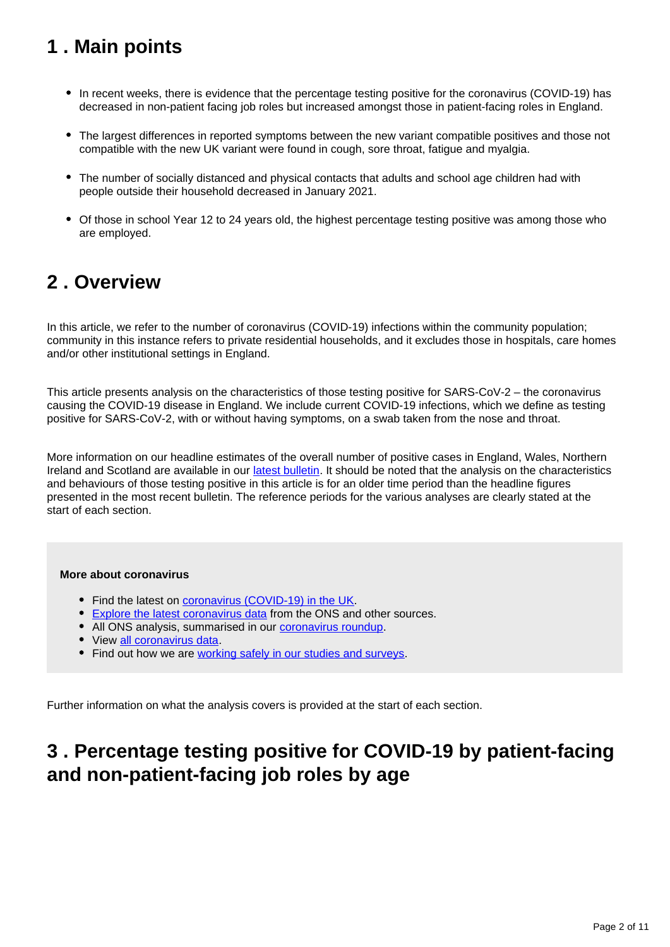## <span id="page-1-0"></span>**1 . Main points**

- In recent weeks, there is evidence that the percentage testing positive for the coronavirus (COVID-19) has decreased in non-patient facing job roles but increased amongst those in patient-facing roles in England.
- The largest differences in reported symptoms between the new variant compatible positives and those not compatible with the new UK variant were found in cough, sore throat, fatigue and myalgia.
- The number of socially distanced and physical contacts that adults and school age children had with people outside their household decreased in January 2021.
- Of those in school Year 12 to 24 years old, the highest percentage testing positive was among those who are employed.

## <span id="page-1-1"></span>**2 . Overview**

In this article, we refer to the number of coronavirus (COVID-19) infections within the community population; community in this instance refers to private residential households, and it excludes those in hospitals, care homes and/or other institutional settings in England.

This article presents analysis on the characteristics of those testing positive for SARS-CoV-2 – the coronavirus causing the COVID-19 disease in England. We include current COVID-19 infections, which we define as testing positive for SARS-CoV-2, with or without having symptoms, on a swab taken from the nose and throat.

More information on our headline estimates of the overall number of positive cases in England, Wales, Northern Ireland and Scotland are available in our [latest bulletin](https://www.ons.gov.uk/peoplepopulationandcommunity/healthandsocialcare/conditionsanddiseases/bulletins/coronaviruscovid19infectionsurveypilot/22january2021). It should be noted that the analysis on the characteristics and behaviours of those testing positive in this article is for an older time period than the headline figures presented in the most recent bulletin. The reference periods for the various analyses are clearly stated at the start of each section.

#### **More about coronavirus**

- Find the latest on [coronavirus \(COVID-19\) in the UK.](https://www.ons.gov.uk/peoplepopulationandcommunity/healthandsocialcare/conditionsanddiseases)
- [Explore the latest coronavirus data](https://www.ons.gov.uk/peoplepopulationandcommunity/healthandsocialcare/conditionsanddiseases/articles/coronaviruscovid19/latestinsights) from the ONS and other sources.
- All ONS analysis, summarised in our [coronavirus roundup.](https://www.ons.gov.uk/peoplepopulationandcommunity/healthandsocialcare/conditionsanddiseases/articles/coronaviruscovid19roundup/latest)
- View [all coronavirus data](https://www.ons.gov.uk/peoplepopulationandcommunity/healthandsocialcare/conditionsanddiseases/datalist).
- Find out how we are [working safely in our studies and surveys.](https://www.ons.gov.uk/news/statementsandletters/ensuringyoursafetyduringcovid19)

Further information on what the analysis covers is provided at the start of each section.

## <span id="page-1-2"></span>**3 . Percentage testing positive for COVID-19 by patient-facing and non-patient-facing job roles by age**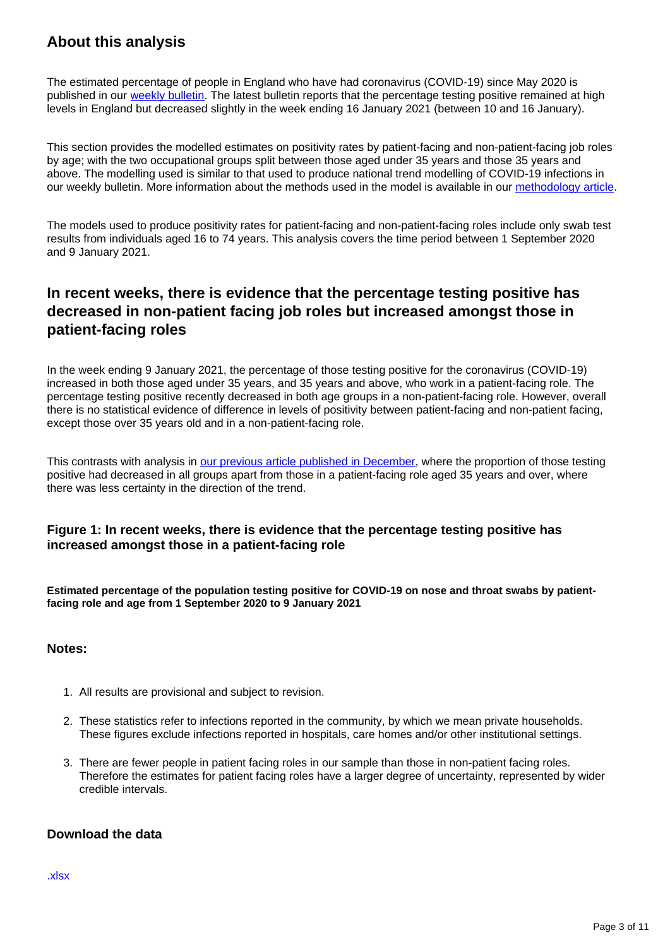### **About this analysis**

The estimated percentage of people in England who have had coronavirus (COVID-19) since May 2020 is published in our [weekly bulletin.](https://www.ons.gov.uk/peoplepopulationandcommunity/healthandsocialcare/conditionsanddiseases/bulletins/coronaviruscovid19infectionsurveypilot/latest) The latest bulletin reports that the percentage testing positive remained at high levels in England but decreased slightly in the week ending 16 January 2021 (between 10 and 16 January).

This section provides the modelled estimates on positivity rates by patient-facing and non-patient-facing job roles by age; with the two occupational groups split between those aged under 35 years and those 35 years and above. The modelling used is similar to that used to produce national trend modelling of COVID-19 infections in our weekly bulletin. More information about the methods used in the model is available in our [methodology article.](https://www.ons.gov.uk/peoplepopulationandcommunity/healthandsocialcare/conditionsanddiseases/methodologies/covid19infectionsurveypilotmethodsandfurtherinformation#modelling)

The models used to produce positivity rates for patient-facing and non-patient-facing roles include only swab test results from individuals aged 16 to 74 years. This analysis covers the time period between 1 September 2020 and 9 January 2021.

### **In recent weeks, there is evidence that the percentage testing positive has decreased in non-patient facing job roles but increased amongst those in patient-facing roles**

In the week ending 9 January 2021, the percentage of those testing positive for the coronavirus (COVID-19) increased in both those aged under 35 years, and 35 years and above, who work in a patient-facing role. The percentage testing positive recently decreased in both age groups in a non-patient-facing role. However, overall there is no statistical evidence of difference in levels of positivity between patient-facing and non-patient facing, except those over 35 years old and in a non-patient-facing role.

This contrasts with analysis in [our previous article published in December](https://www.ons.gov.uk/peoplepopulationandcommunity/healthandsocialcare/conditionsanddiseases/articles/coronaviruscovid19infectionsinthecommunityinengland/december2020), where the proportion of those testing positive had decreased in all groups apart from those in a patient-facing role aged 35 years and over, where there was less certainty in the direction of the trend.

#### **Figure 1: In recent weeks, there is evidence that the percentage testing positive has increased amongst those in a patient-facing role**

**Estimated percentage of the population testing positive for COVID-19 on nose and throat swabs by patientfacing role and age from 1 September 2020 to 9 January 2021**

#### **Notes:**

- 1. All results are provisional and subject to revision.
- 2. These statistics refer to infections reported in the community, by which we mean private households. These figures exclude infections reported in hospitals, care homes and/or other institutional settings.
- 3. There are fewer people in patient facing roles in our sample than those in non-patient facing roles. Therefore the estimates for patient facing roles have a larger degree of uncertainty, represented by wider credible intervals.

#### **Download the data**

[.xlsx](https://www.ons.gov.uk/visualisations/dvc1153/patientfacing/datadownload.xlsx)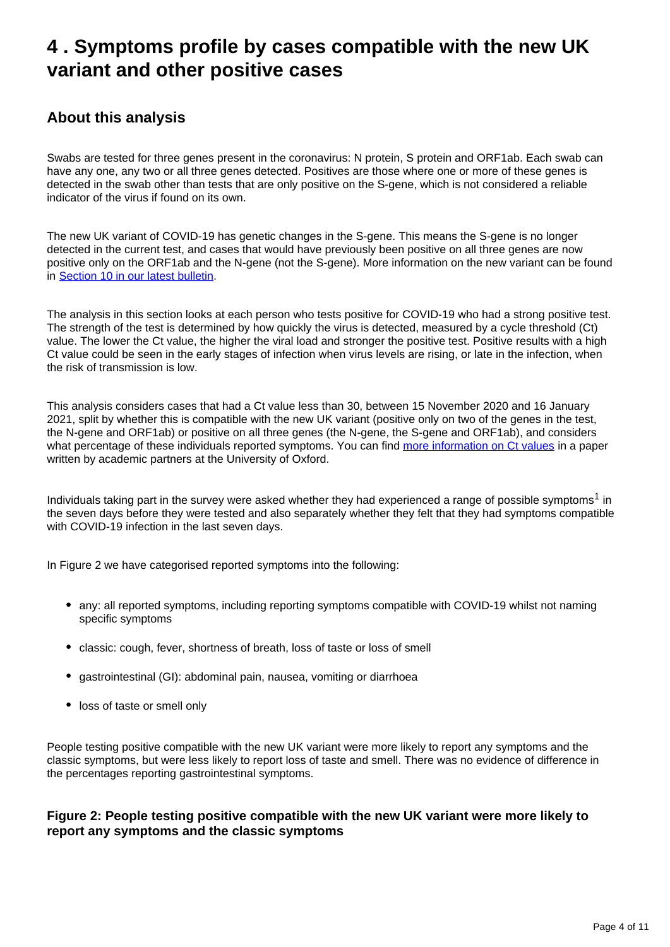## <span id="page-3-0"></span>**4 . Symptoms profile by cases compatible with the new UK variant and other positive cases**

### **About this analysis**

Swabs are tested for three genes present in the coronavirus: N protein, S protein and ORF1ab. Each swab can have any one, any two or all three genes detected. Positives are those where one or more of these genes is detected in the swab other than tests that are only positive on the S-gene, which is not considered a reliable indicator of the virus if found on its own.

The new UK variant of COVID-19 has genetic changes in the S-gene. This means the S-gene is no longer detected in the current test, and cases that would have previously been positive on all three genes are now positive only on the ORF1ab and the N-gene (not the S-gene). More information on the new variant can be found in [Section 10 in our latest bulletin.](https://www.ons.gov.uk/peoplepopulationandcommunity/healthandsocialcare/conditionsanddiseases/bulletins/coronaviruscovid19infectionsurveypilot/22january2021#positive-tests-that-are-compatible-with-the-new-uk-variant)

The analysis in this section looks at each person who tests positive for COVID-19 who had a strong positive test. The strength of the test is determined by how quickly the virus is detected, measured by a cycle threshold (Ct) value. The lower the Ct value, the higher the viral load and stronger the positive test. Positive results with a high Ct value could be seen in the early stages of infection when virus levels are rising, or late in the infection, when the risk of transmission is low.

This analysis considers cases that had a Ct value less than 30, between 15 November 2020 and 16 January 2021, split by whether this is compatible with the new UK variant (positive only on two of the genes in the test, the N-gene and ORF1ab) or positive on all three genes (the N-gene, the S-gene and ORF1ab), and considers what percentage of these individuals reported symptoms. You can find [more information on Ct values](https://www.medrxiv.org/content/10.1101/2020.10.25.20219048v1) in a paper written by academic partners at the University of Oxford.

Individuals taking part in the survey were asked whether they had experienced a range of possible symptoms<sup>1</sup> in the seven days before they were tested and also separately whether they felt that they had symptoms compatible with COVID-19 infection in the last seven days.

In Figure 2 we have categorised reported symptoms into the following:

- any: all reported symptoms, including reporting symptoms compatible with COVID-19 whilst not naming specific symptoms
- classic: cough, fever, shortness of breath, loss of taste or loss of smell
- gastrointestinal (GI): abdominal pain, nausea, vomiting or diarrhoea
- loss of taste or smell only

People testing positive compatible with the new UK variant were more likely to report any symptoms and the classic symptoms, but were less likely to report loss of taste and smell. There was no evidence of difference in the percentages reporting gastrointestinal symptoms.

#### **Figure 2: People testing positive compatible with the new UK variant were more likely to report any symptoms and the classic symptoms**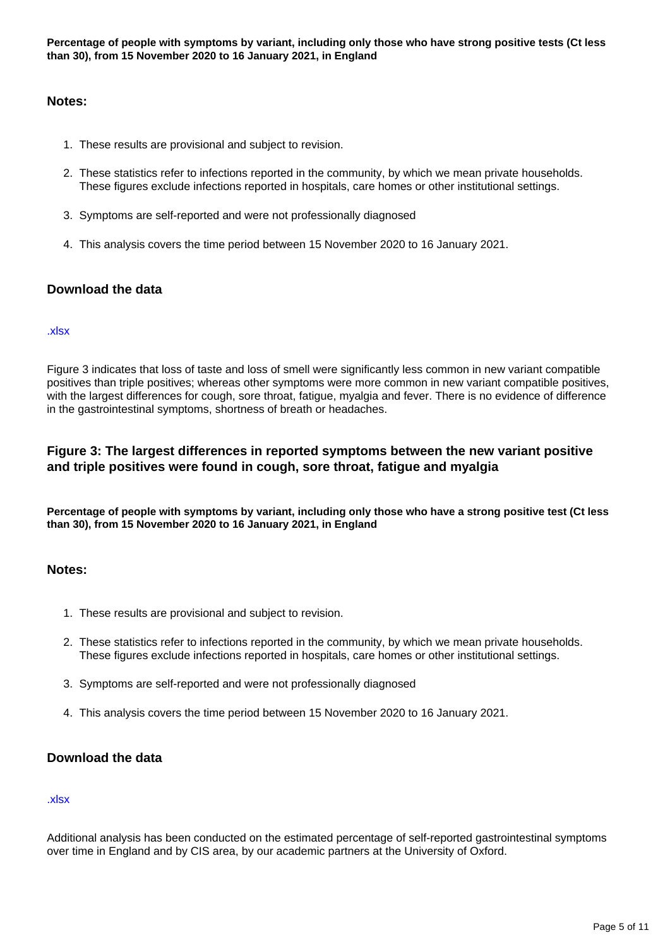#### **Notes:**

- 1. These results are provisional and subject to revision.
- 2. These statistics refer to infections reported in the community, by which we mean private households. These figures exclude infections reported in hospitals, care homes or other institutional settings.
- 3. Symptoms are self-reported and were not professionally diagnosed
- 4. This analysis covers the time period between 15 November 2020 to 16 January 2021.

#### **Download the data**

#### [.xlsx]( https://www.ons.gov.uk/visualisations/dvc1153/symptomscat/datadownload.xlsx)

Figure 3 indicates that loss of taste and loss of smell were significantly less common in new variant compatible positives than triple positives; whereas other symptoms were more common in new variant compatible positives, with the largest differences for cough, sore throat, fatigue, myalgia and fever. There is no evidence of difference in the gastrointestinal symptoms, shortness of breath or headaches.

#### **Figure 3: The largest differences in reported symptoms between the new variant positive and triple positives were found in cough, sore throat, fatigue and myalgia**

**Percentage of people with symptoms by variant, including only those who have a strong positive test (Ct less than 30), from 15 November 2020 to 16 January 2021, in England**

#### **Notes:**

- 1. These results are provisional and subject to revision.
- 2. These statistics refer to infections reported in the community, by which we mean private households. These figures exclude infections reported in hospitals, care homes or other institutional settings.
- 3. Symptoms are self-reported and were not professionally diagnosed
- 4. This analysis covers the time period between 15 November 2020 to 16 January 2021.

#### **Download the data**

#### [.xlsx](https://www.ons.gov.uk/visualisations/dvc1153/symptomsall/datadownload.xlsx)

Additional analysis has been conducted on the estimated percentage of self-reported gastrointestinal symptoms over time in England and by CIS area, by our academic partners at the University of Oxford.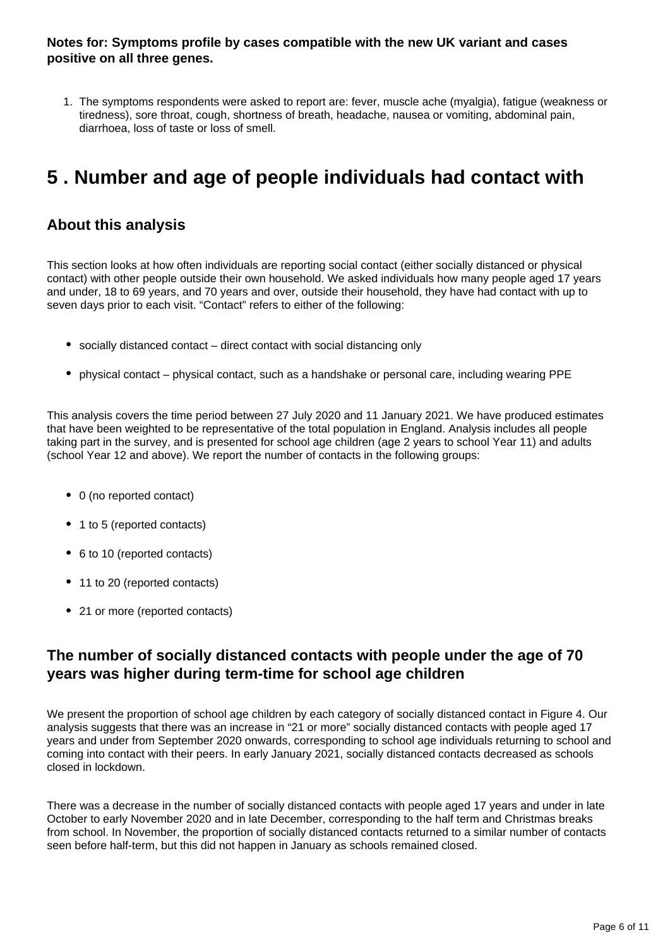**Notes for: Symptoms profile by cases compatible with the new UK variant and cases positive on all three genes.**

1. The symptoms respondents were asked to report are: fever, muscle ache (myalgia), fatigue (weakness or tiredness), sore throat, cough, shortness of breath, headache, nausea or vomiting, abdominal pain, diarrhoea, loss of taste or loss of smell.

## <span id="page-5-0"></span>**5 . Number and age of people individuals had contact with**

### **About this analysis**

This section looks at how often individuals are reporting social contact (either socially distanced or physical contact) with other people outside their own household. We asked individuals how many people aged 17 years and under, 18 to 69 years, and 70 years and over, outside their household, they have had contact with up to seven days prior to each visit. "Contact" refers to either of the following:

- socially distanced contact direct contact with social distancing only
- physical contact physical contact, such as a handshake or personal care, including wearing PPE

This analysis covers the time period between 27 July 2020 and 11 January 2021. We have produced estimates that have been weighted to be representative of the total population in England. Analysis includes all people taking part in the survey, and is presented for school age children (age 2 years to school Year 11) and adults (school Year 12 and above). We report the number of contacts in the following groups:

- 0 (no reported contact)
- 1 to 5 (reported contacts)
- 6 to 10 (reported contacts)
- 11 to 20 (reported contacts)
- 21 or more (reported contacts)

### **The number of socially distanced contacts with people under the age of 70 years was higher during term-time for school age children**

We present the proportion of school age children by each category of socially distanced contact in Figure 4. Our analysis suggests that there was an increase in "21 or more" socially distanced contacts with people aged 17 years and under from September 2020 onwards, corresponding to school age individuals returning to school and coming into contact with their peers. In early January 2021, socially distanced contacts decreased as schools closed in lockdown.

There was a decrease in the number of socially distanced contacts with people aged 17 years and under in late October to early November 2020 and in late December, corresponding to the half term and Christmas breaks from school. In November, the proportion of socially distanced contacts returned to a similar number of contacts seen before half-term, but this did not happen in January as schools remained closed.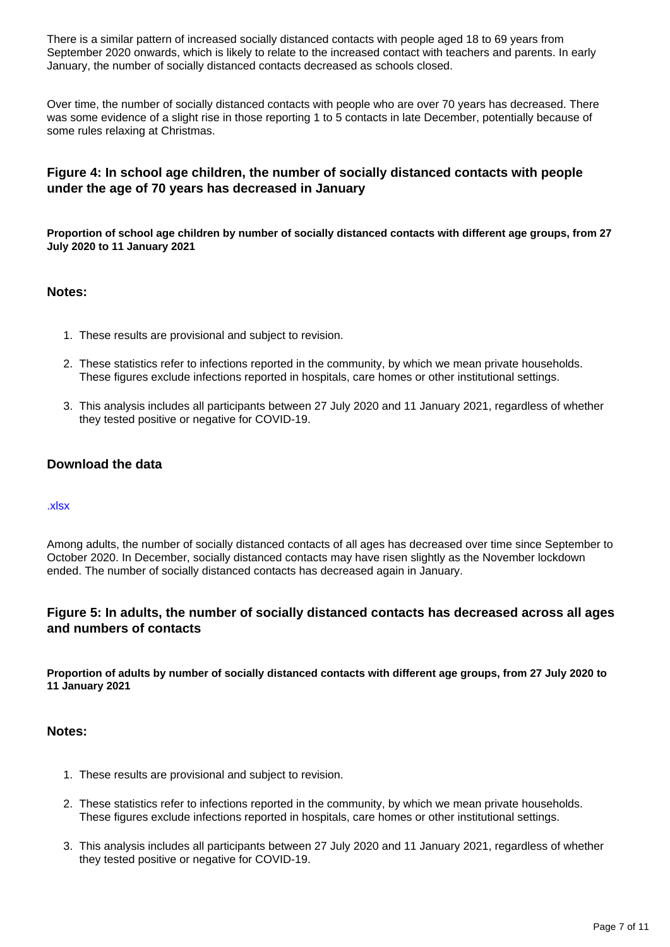There is a similar pattern of increased socially distanced contacts with people aged 18 to 69 years from September 2020 onwards, which is likely to relate to the increased contact with teachers and parents. In early January, the number of socially distanced contacts decreased as schools closed.

Over time, the number of socially distanced contacts with people who are over 70 years has decreased. There was some evidence of a slight rise in those reporting 1 to 5 contacts in late December, potentially because of some rules relaxing at Christmas.

#### **Figure 4: In school age children, the number of socially distanced contacts with people under the age of 70 years has decreased in January**

**Proportion of school age children by number of socially distanced contacts with different age groups, from 27 July 2020 to 11 January 2021**

#### **Notes:**

- 1. These results are provisional and subject to revision.
- 2. These statistics refer to infections reported in the community, by which we mean private households. These figures exclude infections reported in hospitals, care homes or other institutional settings.
- 3. This analysis includes all participants between 27 July 2020 and 11 January 2021, regardless of whether they tested positive or negative for COVID-19.

#### **Download the data**

#### [.xlsx](https://www.ons.gov.uk/visualisations/dvc1153/soccon_children/datadownload.xlsx)

Among adults, the number of socially distanced contacts of all ages has decreased over time since September to October 2020. In December, socially distanced contacts may have risen slightly as the November lockdown ended. The number of socially distanced contacts has decreased again in January.

#### **Figure 5: In adults, the number of socially distanced contacts has decreased across all ages and numbers of contacts**

**Proportion of adults by number of socially distanced contacts with different age groups, from 27 July 2020 to 11 January 2021**

#### **Notes:**

- 1. These results are provisional and subject to revision.
- 2. These statistics refer to infections reported in the community, by which we mean private households. These figures exclude infections reported in hospitals, care homes or other institutional settings.
- 3. This analysis includes all participants between 27 July 2020 and 11 January 2021, regardless of whether they tested positive or negative for COVID-19.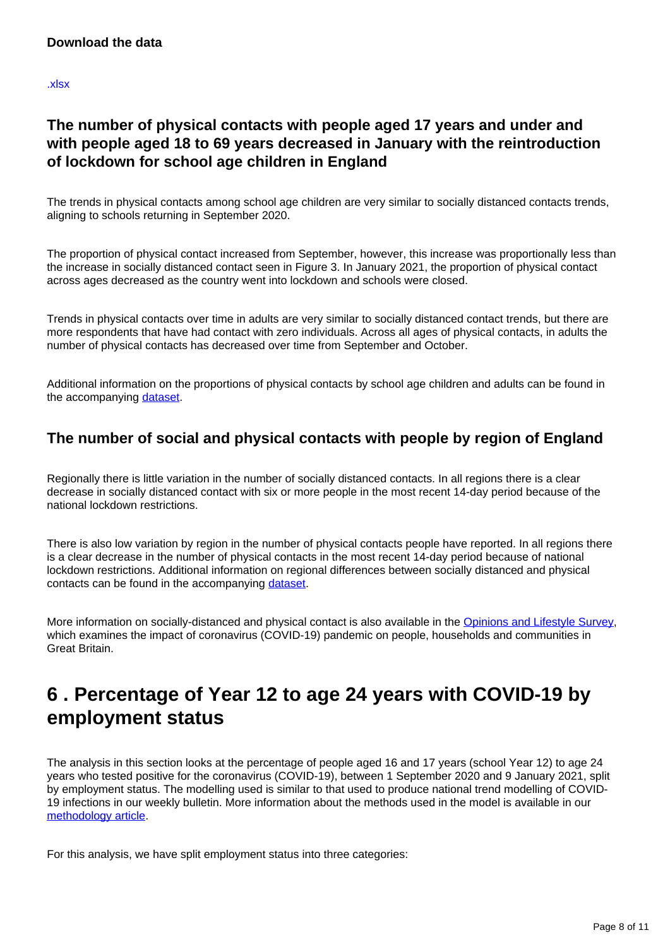[.xlsx](https://www.ons.gov.uk/visualisations/dvc1153/soccon_adults/datadownload.xlsx)

### **The number of physical contacts with people aged 17 years and under and with people aged 18 to 69 years decreased in January with the reintroduction of lockdown for school age children in England**

The trends in physical contacts among school age children are very similar to socially distanced contacts trends, aligning to schools returning in September 2020.

The proportion of physical contact increased from September, however, this increase was proportionally less than the increase in socially distanced contact seen in Figure 3. In January 2021, the proportion of physical contact across ages decreased as the country went into lockdown and schools were closed.

Trends in physical contacts over time in adults are very similar to socially distanced contact trends, but there are more respondents that have had contact with zero individuals. Across all ages of physical contacts, in adults the number of physical contacts has decreased over time from September and October.

Additional information on the proportions of physical contacts by school age children and adults can be found in the accompanying [dataset.](https://www.ons.gov.uk/peoplepopulationandcommunity/healthandsocialcare/conditionsanddiseases/datasets/coronaviruscovid19infectionsinthecommunityinengland)

### **The number of social and physical contacts with people by region of England**

Regionally there is little variation in the number of socially distanced contacts. In all regions there is a clear decrease in socially distanced contact with six or more people in the most recent 14-day period because of the national lockdown restrictions.

There is also low variation by region in the number of physical contacts people have reported. In all regions there is a clear decrease in the number of physical contacts in the most recent 14-day period because of national lockdown restrictions. Additional information on regional differences between socially distanced and physical contacts can be found in the accompanying [dataset.](https://www.ons.gov.uk/peoplepopulationandcommunity/healthandsocialcare/conditionsanddiseases/datasets/coronaviruscovid19infectionsinthecommunityinengland)

More information on socially-distanced and physical contact is also available in the [Opinions and Lifestyle Survey,](https://www.ons.gov.uk/peoplepopulationandcommunity/healthandsocialcare/healthandwellbeing/bulletins/coronavirusandthesocialimpactsongreatbritain/latest#behaviours-going-into-lockdown) which examines the impact of coronavirus (COVID-19) pandemic on people, households and communities in Great Britain.

## <span id="page-7-0"></span>**6 . Percentage of Year 12 to age 24 years with COVID-19 by employment status**

The analysis in this section looks at the percentage of people aged 16 and 17 years (school Year 12) to age 24 years who tested positive for the coronavirus (COVID-19), between 1 September 2020 and 9 January 2021, split by employment status. The modelling used is similar to that used to produce national trend modelling of COVID-19 infections in our weekly bulletin. More information about the methods used in the model is available in our [methodology article](https://www.ons.gov.uk/peoplepopulationandcommunity/healthandsocialcare/conditionsanddiseases/methodologies/covid19infectionsurveypilotmethodsandfurtherinformation).

For this analysis, we have split employment status into three categories: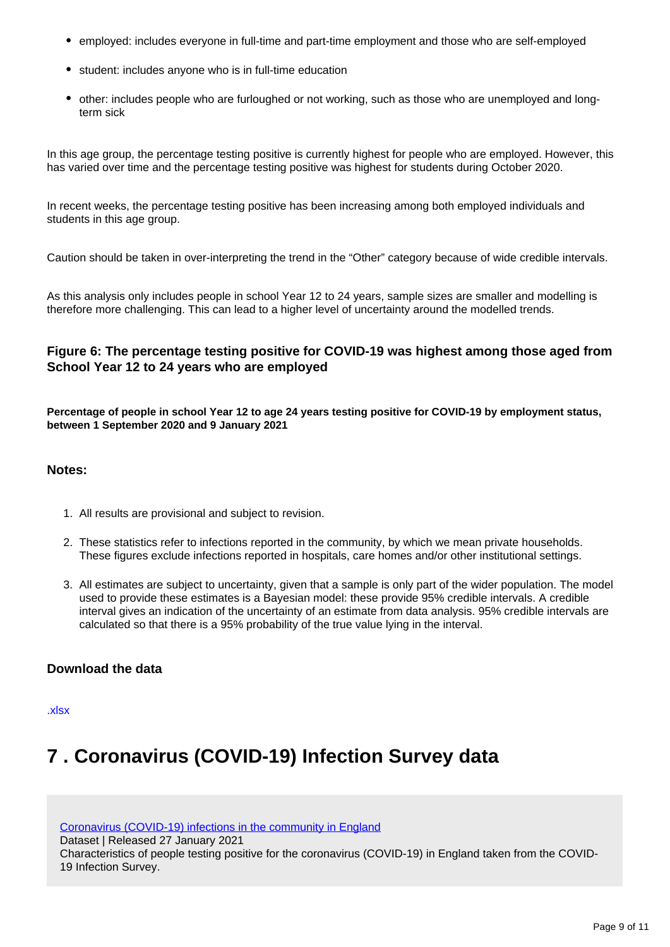- employed: includes everyone in full-time and part-time employment and those who are self-employed
- student: includes anyone who is in full-time education
- other: includes people who are furloughed or not working, such as those who are unemployed and longterm sick

In this age group, the percentage testing positive is currently highest for people who are employed. However, this has varied over time and the percentage testing positive was highest for students during October 2020.

In recent weeks, the percentage testing positive has been increasing among both employed individuals and students in this age group.

Caution should be taken in over-interpreting the trend in the "Other" category because of wide credible intervals.

As this analysis only includes people in school Year 12 to 24 years, sample sizes are smaller and modelling is therefore more challenging. This can lead to a higher level of uncertainty around the modelled trends.

#### **Figure 6: The percentage testing positive for COVID-19 was highest among those aged from School Year 12 to 24 years who are employed**

**Percentage of people in school Year 12 to age 24 years testing positive for COVID-19 by employment status, between 1 September 2020 and 9 January 2021**

#### **Notes:**

- 1. All results are provisional and subject to revision.
- 2. These statistics refer to infections reported in the community, by which we mean private households. These figures exclude infections reported in hospitals, care homes and/or other institutional settings.
- 3. All estimates are subject to uncertainty, given that a sample is only part of the wider population. The model used to provide these estimates is a Bayesian model: these provide 95% credible intervals. A credible interval gives an indication of the uncertainty of an estimate from data analysis. 95% credible intervals are calculated so that there is a 95% probability of the true value lying in the interval.

#### **Download the data**

[.xlsx](https://www.ons.gov.uk/visualisations/dvc1153/employmentstatus/datadownload.xlsx)

## <span id="page-8-0"></span>**7 . Coronavirus (COVID-19) Infection Survey data**

[Coronavirus \(COVID-19\) infections in the community in England](https://www.ons.gov.uk/peoplepopulationandcommunity/healthandsocialcare/conditionsanddiseases/datasets/coronaviruscovid19infectionsinthecommunityinengland)

Dataset | Released 27 January 2021

Characteristics of people testing positive for the coronavirus (COVID-19) in England taken from the COVID-19 Infection Survey.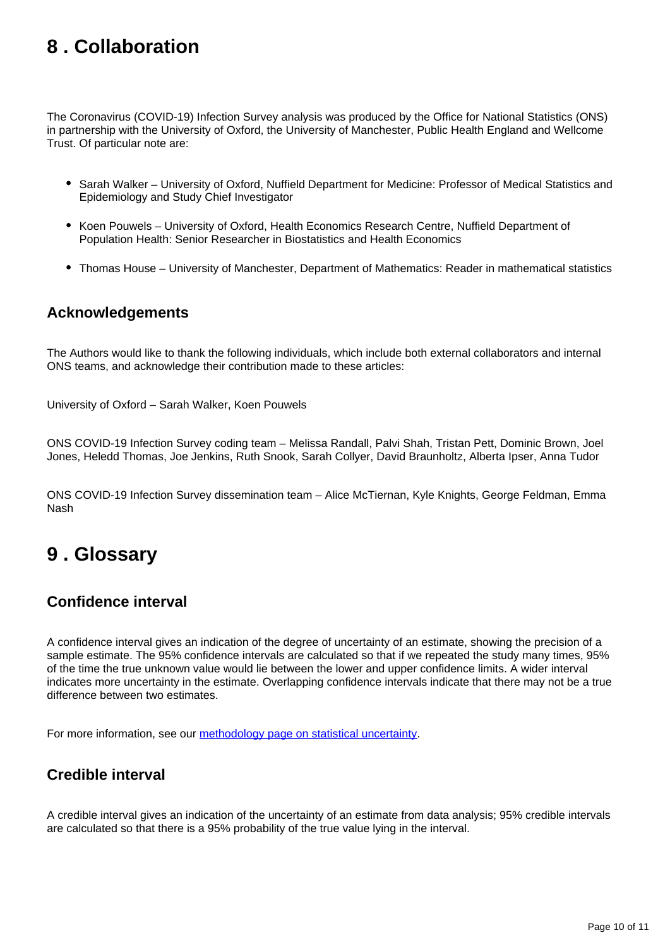## <span id="page-9-0"></span>**8 . Collaboration**

The Coronavirus (COVID-19) Infection Survey analysis was produced by the Office for National Statistics (ONS) in partnership with the University of Oxford, the University of Manchester, Public Health England and Wellcome Trust. Of particular note are:

- Sarah Walker University of Oxford, Nuffield Department for Medicine: Professor of Medical Statistics and Epidemiology and Study Chief Investigator
- Koen Pouwels University of Oxford, Health Economics Research Centre, Nuffield Department of Population Health: Senior Researcher in Biostatistics and Health Economics
- Thomas House University of Manchester, Department of Mathematics: Reader in mathematical statistics

### **Acknowledgements**

The Authors would like to thank the following individuals, which include both external collaborators and internal ONS teams, and acknowledge their contribution made to these articles:

University of Oxford – Sarah Walker, Koen Pouwels

ONS COVID-19 Infection Survey coding team – Melissa Randall, Palvi Shah, Tristan Pett, Dominic Brown, Joel Jones, Heledd Thomas, Joe Jenkins, Ruth Snook, Sarah Collyer, David Braunholtz, Alberta Ipser, Anna Tudor

ONS COVID-19 Infection Survey dissemination team – Alice McTiernan, Kyle Knights, George Feldman, Emma Nash

### <span id="page-9-1"></span>**9 . Glossary**

### **Confidence interval**

A confidence interval gives an indication of the degree of uncertainty of an estimate, showing the precision of a sample estimate. The 95% confidence intervals are calculated so that if we repeated the study many times, 95% of the time the true unknown value would lie between the lower and upper confidence limits. A wider interval indicates more uncertainty in the estimate. Overlapping confidence intervals indicate that there may not be a true difference between two estimates.

For more information, see our **methodology** page on statistical uncertainty.

### **Credible interval**

A credible interval gives an indication of the uncertainty of an estimate from data analysis; 95% credible intervals are calculated so that there is a 95% probability of the true value lying in the interval.